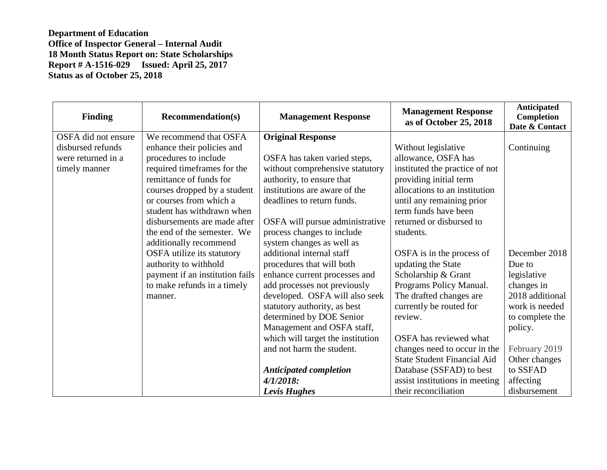| <b>Finding</b>      | <b>Recommendation(s)</b>        | <b>Management Response</b>        | <b>Management Response</b><br>as of October 25, 2018 | <b>Anticipated</b><br><b>Completion</b><br>Date & Contact |
|---------------------|---------------------------------|-----------------------------------|------------------------------------------------------|-----------------------------------------------------------|
| OSFA did not ensure | We recommend that OSFA          | <b>Original Response</b>          |                                                      |                                                           |
| disbursed refunds   | enhance their policies and      |                                   | Without legislative                                  | Continuing                                                |
| were returned in a  | procedures to include           | OSFA has taken varied steps,      | allowance, OSFA has                                  |                                                           |
| timely manner       | required timeframes for the     | without comprehensive statutory   | instituted the practice of not                       |                                                           |
|                     | remittance of funds for         | authority, to ensure that         | providing initial term                               |                                                           |
|                     | courses dropped by a student    | institutions are aware of the     | allocations to an institution                        |                                                           |
|                     | or courses from which a         | deadlines to return funds.        | until any remaining prior                            |                                                           |
|                     | student has withdrawn when      |                                   | term funds have been                                 |                                                           |
|                     | disbursements are made after    | OSFA will pursue administrative   | returned or disbursed to                             |                                                           |
|                     | the end of the semester. We     | process changes to include        | students.                                            |                                                           |
|                     | additionally recommend          | system changes as well as         |                                                      |                                                           |
|                     | OSFA utilize its statutory      | additional internal staff         | OSFA is in the process of                            | December 2018                                             |
|                     | authority to withhold           | procedures that will both         | updating the State                                   | Due to                                                    |
|                     | payment if an institution fails | enhance current processes and     | Scholarship & Grant                                  | legislative                                               |
|                     | to make refunds in a timely     | add processes not previously      | Programs Policy Manual.                              | changes in                                                |
|                     | manner.                         | developed. OSFA will also seek    | The drafted changes are                              | 2018 additional                                           |
|                     |                                 | statutory authority, as best      | currently be routed for                              | work is needed                                            |
|                     |                                 | determined by DOE Senior          | review.                                              | to complete the                                           |
|                     |                                 | Management and OSFA staff,        |                                                      | policy.                                                   |
|                     |                                 | which will target the institution | OSFA has reviewed what                               |                                                           |
|                     |                                 | and not harm the student.         | changes need to occur in the                         | February 2019                                             |
|                     |                                 |                                   | <b>State Student Financial Aid</b>                   | Other changes                                             |
|                     |                                 | <b>Anticipated completion</b>     | Database (SSFAD) to best                             | to SSFAD                                                  |
|                     |                                 | $4/1/2018$ :                      | assist institutions in meeting                       | affecting                                                 |
|                     |                                 | <b>Levis Hughes</b>               | their reconciliation                                 | disbursement                                              |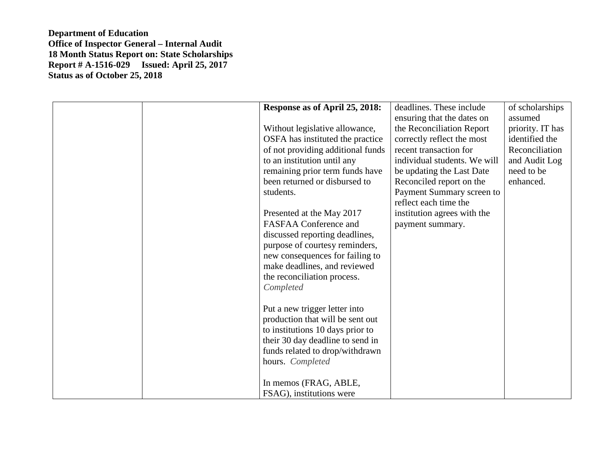|  | Response as of April 25, 2018:<br>Without legislative allowance,<br>OSFA has instituted the practice<br>of not providing additional funds<br>to an institution until any<br>remaining prior term funds have<br>been returned or disbursed to<br>students.<br>Presented at the May 2017<br><b>FASFAA Conference and</b><br>discussed reporting deadlines,<br>purpose of courtesy reminders,<br>new consequences for failing to<br>make deadlines, and reviewed<br>the reconciliation process.<br>Completed<br>Put a new trigger letter into<br>production that will be sent out<br>to institutions 10 days prior to<br>their 30 day deadline to send in<br>funds related to drop/withdrawn<br>hours. Completed<br>In memos (FRAG, ABLE,<br>FSAG), institutions were | deadlines. These include<br>ensuring that the dates on<br>the Reconciliation Report<br>correctly reflect the most<br>recent transaction for<br>individual students. We will<br>be updating the Last Date<br>Reconciled report on the<br>Payment Summary screen to<br>reflect each time the<br>institution agrees with the<br>payment summary. | of scholarships<br>assumed<br>priority. IT has<br>identified the<br>Reconciliation<br>and Audit Log<br>need to be<br>enhanced. |
|--|--------------------------------------------------------------------------------------------------------------------------------------------------------------------------------------------------------------------------------------------------------------------------------------------------------------------------------------------------------------------------------------------------------------------------------------------------------------------------------------------------------------------------------------------------------------------------------------------------------------------------------------------------------------------------------------------------------------------------------------------------------------------|-----------------------------------------------------------------------------------------------------------------------------------------------------------------------------------------------------------------------------------------------------------------------------------------------------------------------------------------------|--------------------------------------------------------------------------------------------------------------------------------|
|--|--------------------------------------------------------------------------------------------------------------------------------------------------------------------------------------------------------------------------------------------------------------------------------------------------------------------------------------------------------------------------------------------------------------------------------------------------------------------------------------------------------------------------------------------------------------------------------------------------------------------------------------------------------------------------------------------------------------------------------------------------------------------|-----------------------------------------------------------------------------------------------------------------------------------------------------------------------------------------------------------------------------------------------------------------------------------------------------------------------------------------------|--------------------------------------------------------------------------------------------------------------------------------|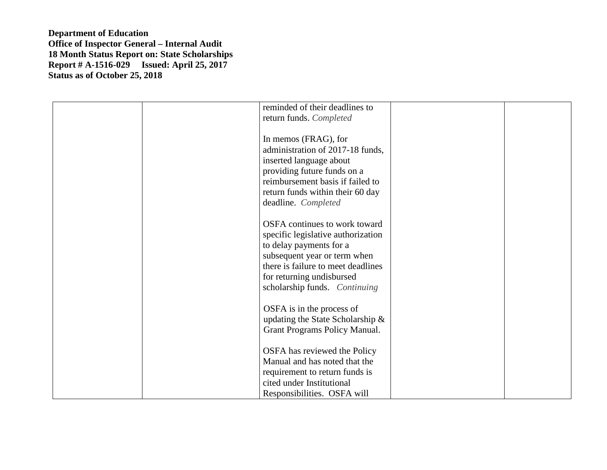| reminded of their deadlines to<br>return funds. Completed            |
|----------------------------------------------------------------------|
|                                                                      |
| In memos (FRAG), for<br>administration of 2017-18 funds,             |
| inserted language about                                              |
| providing future funds on a                                          |
| reimbursement basis if failed to                                     |
| return funds within their 60 day                                     |
| deadline. Completed                                                  |
| OSFA continues to work toward                                        |
| specific legislative authorization                                   |
| to delay payments for a                                              |
| subsequent year or term when<br>there is failure to meet deadlines   |
| for returning undisbursed                                            |
| scholarship funds. Continuing                                        |
|                                                                      |
| OSFA is in the process of                                            |
| updating the State Scholarship $\&$<br>Grant Programs Policy Manual. |
|                                                                      |
| OSFA has reviewed the Policy                                         |
| Manual and has noted that the                                        |
| requirement to return funds is<br>cited under Institutional          |
| Responsibilities. OSFA will                                          |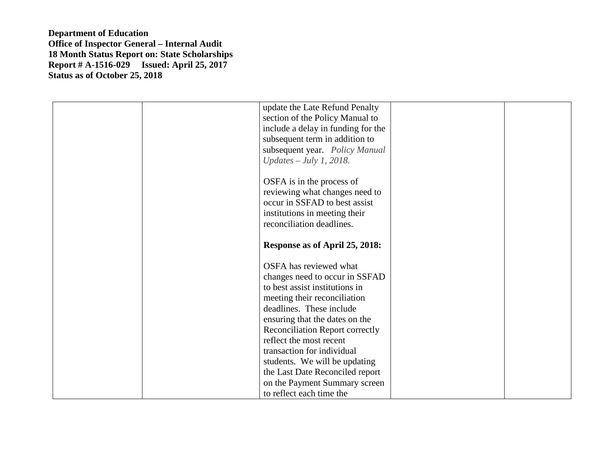| update the Late Refund Penalty<br>section of the Policy Manual to |
|-------------------------------------------------------------------|
| include a delay in funding for the                                |
| subsequent term in addition to                                    |
| subsequent year. Policy Manual                                    |
| $Updates - July 1, 2018.$                                         |
| OSFA is in the process of                                         |
| reviewing what changes need to                                    |
| occur in SSFAD to best assist                                     |
| institutions in meeting their                                     |
| reconciliation deadlines.                                         |
| Response as of April 25, 2018:                                    |
| OSFA has reviewed what                                            |
| changes need to occur in SSFAD                                    |
| to best assist institutions in                                    |
| meeting their reconciliation                                      |
| deadlines. These include                                          |
| ensuring that the dates on the                                    |
| Reconciliation Report correctly                                   |
| reflect the most recent                                           |
| transaction for individual                                        |
| students. We will be updating                                     |
| the Last Date Reconciled report                                   |
| on the Payment Summary screen                                     |
| to reflect each time the                                          |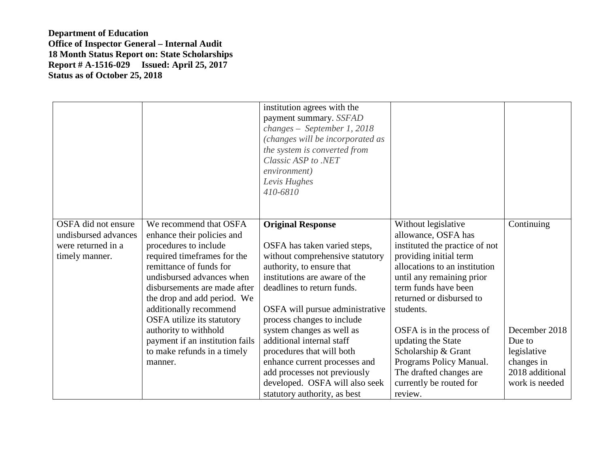|                                                                                     |                                                                                                                                                                                                                                                                                             | institution agrees with the<br>payment summary. SSFAD<br>changes - September 1, 2018<br>(changes will be incorporated as<br>the system is converted from<br>Classic ASP to .NET<br>environment)<br>Levis Hughes<br>410-6810                              |                                                                                                                                                                                                                                       |                                                                                           |
|-------------------------------------------------------------------------------------|---------------------------------------------------------------------------------------------------------------------------------------------------------------------------------------------------------------------------------------------------------------------------------------------|----------------------------------------------------------------------------------------------------------------------------------------------------------------------------------------------------------------------------------------------------------|---------------------------------------------------------------------------------------------------------------------------------------------------------------------------------------------------------------------------------------|-------------------------------------------------------------------------------------------|
| OSFA did not ensure<br>undisbursed advances<br>were returned in a<br>timely manner. | We recommend that OSFA<br>enhance their policies and<br>procedures to include<br>required timeframes for the<br>remittance of funds for<br>undisbursed advances when<br>disbursements are made after<br>the drop and add period. We<br>additionally recommend<br>OSFA utilize its statutory | <b>Original Response</b><br>OSFA has taken varied steps,<br>without comprehensive statutory<br>authority, to ensure that<br>institutions are aware of the<br>deadlines to return funds.<br>OSFA will pursue administrative<br>process changes to include | Without legislative<br>allowance, OSFA has<br>instituted the practice of not<br>providing initial term<br>allocations to an institution<br>until any remaining prior<br>term funds have been<br>returned or disbursed to<br>students. | Continuing                                                                                |
|                                                                                     | authority to withhold<br>payment if an institution fails<br>to make refunds in a timely<br>manner.                                                                                                                                                                                          | system changes as well as<br>additional internal staff<br>procedures that will both<br>enhance current processes and<br>add processes not previously<br>developed. OSFA will also seek<br>statutory authority, as best                                   | OSFA is in the process of<br>updating the State<br>Scholarship & Grant<br>Programs Policy Manual.<br>The drafted changes are<br>currently be routed for<br>review.                                                                    | December 2018<br>Due to<br>legislative<br>changes in<br>2018 additional<br>work is needed |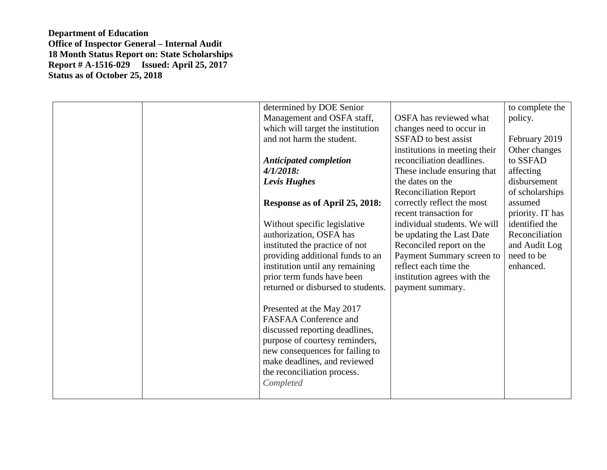|  | determined by DOE Senior           |                               | to complete the  |
|--|------------------------------------|-------------------------------|------------------|
|  | Management and OSFA staff,         | OSFA has reviewed what        | policy.          |
|  | which will target the institution  | changes need to occur in      |                  |
|  | and not harm the student.          | SSFAD to best assist          | February 2019    |
|  |                                    | institutions in meeting their | Other changes    |
|  | <b>Anticipated completion</b>      | reconciliation deadlines.     | to SSFAD         |
|  | $4/1/2018$ :                       | These include ensuring that   | affecting        |
|  | Levis Hughes                       | the dates on the              | disbursement     |
|  |                                    | <b>Reconciliation Report</b>  | of scholarships  |
|  | Response as of April 25, 2018:     | correctly reflect the most    | assumed          |
|  |                                    | recent transaction for        | priority. IT has |
|  | Without specific legislative       | individual students. We will  | identified the   |
|  | authorization, OSFA has            | be updating the Last Date     | Reconciliation   |
|  | instituted the practice of not     | Reconciled report on the      | and Audit Log    |
|  | providing additional funds to an   | Payment Summary screen to     | need to be       |
|  | institution until any remaining    | reflect each time the         | enhanced.        |
|  | prior term funds have been         | institution agrees with the   |                  |
|  | returned or disbursed to students. | payment summary.              |                  |
|  |                                    |                               |                  |
|  | Presented at the May 2017          |                               |                  |
|  | <b>FASFAA Conference and</b>       |                               |                  |
|  | discussed reporting deadlines,     |                               |                  |
|  | purpose of courtesy reminders,     |                               |                  |
|  | new consequences for failing to    |                               |                  |
|  | make deadlines, and reviewed       |                               |                  |
|  | the reconciliation process.        |                               |                  |
|  | Completed                          |                               |                  |
|  |                                    |                               |                  |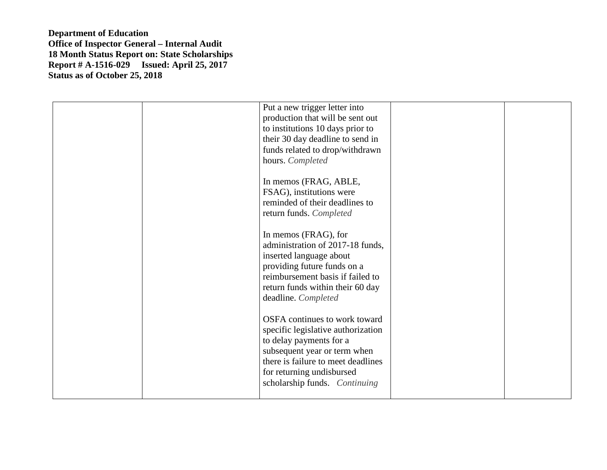|  | Put a new trigger letter into<br>production that will be sent out<br>to institutions 10 days prior to<br>their 30 day deadline to send in<br>funds related to drop/withdrawn<br>hours. Completed<br>In memos (FRAG, ABLE,<br>FSAG), institutions were<br>reminded of their deadlines to<br>return funds. Completed<br>In memos (FRAG), for<br>administration of 2017-18 funds,<br>inserted language about<br>providing future funds on a<br>reimbursement basis if failed to<br>return funds within their 60 day<br>deadline. Completed<br>OSFA continues to work toward<br>specific legislative authorization<br>to delay payments for a<br>subsequent year or term when<br>there is failure to meet deadlines<br>for returning undisbursed<br>scholarship funds. Continuing |  |
|--|-------------------------------------------------------------------------------------------------------------------------------------------------------------------------------------------------------------------------------------------------------------------------------------------------------------------------------------------------------------------------------------------------------------------------------------------------------------------------------------------------------------------------------------------------------------------------------------------------------------------------------------------------------------------------------------------------------------------------------------------------------------------------------|--|
|  |                                                                                                                                                                                                                                                                                                                                                                                                                                                                                                                                                                                                                                                                                                                                                                               |  |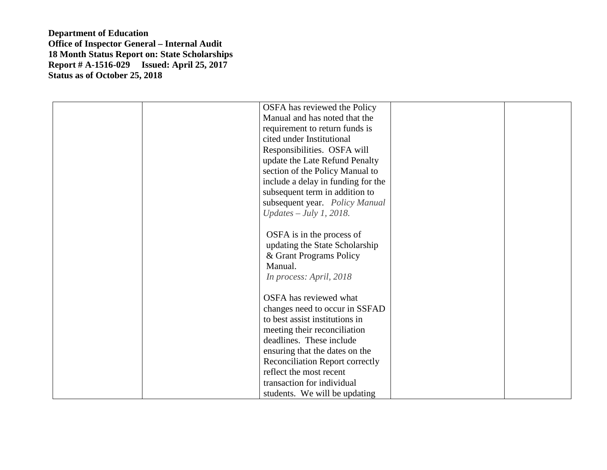| OSFA has reviewed the Policy       |
|------------------------------------|
| Manual and has noted that the      |
| requirement to return funds is     |
| cited under Institutional          |
| Responsibilities. OSFA will        |
| update the Late Refund Penalty     |
| section of the Policy Manual to    |
| include a delay in funding for the |
| subsequent term in addition to     |
| subsequent year. Policy Manual     |
| $Updates - July 1, 2018.$          |
|                                    |
| OSFA is in the process of          |
| updating the State Scholarship     |
| & Grant Programs Policy            |
| Manual.                            |
| In process: April, 2018            |
|                                    |
| OSFA has reviewed what             |
| changes need to occur in SSFAD     |
| to best assist institutions in     |
| meeting their reconciliation       |
| deadlines. These include           |
| ensuring that the dates on the     |
| Reconciliation Report correctly    |
| reflect the most recent            |
| transaction for individual         |
| students. We will be updating      |